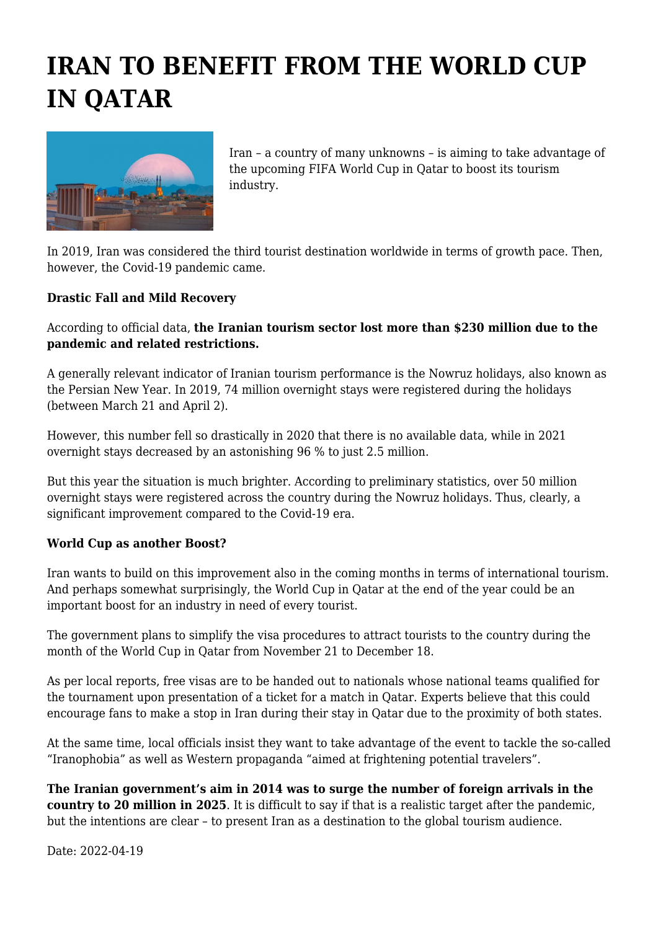## **IRAN TO BENEFIT FROM THE WORLD CUP IN QATAR**



Iran – a country of many unknowns – is aiming to take advantage of the upcoming FIFA World Cup in Qatar to boost its tourism industry.

In 2019, Iran was considered the third tourist destination worldwide in terms of growth pace. Then, however, the Covid-19 pandemic came.

## **Drastic Fall and Mild Recovery**

## According to official data, **the Iranian tourism sector lost more than \$230 million due to the pandemic and related restrictions.**

A generally relevant indicator of Iranian tourism performance is the Nowruz holidays, also known as the Persian New Year. In 2019, 74 million overnight stays were registered during the holidays (between March 21 and April 2).

However, this number fell so drastically in 2020 that there is no available data, while in 2021 overnight stays decreased by an astonishing 96 % to just 2.5 million.

But this year the situation is much brighter. According to preliminary statistics, over 50 million overnight stays were registered across the country during the Nowruz holidays. Thus, clearly, a significant improvement compared to the Covid-19 era.

## **World Cup as another Boost?**

Iran wants to build on this improvement also in the coming months in terms of international tourism. And perhaps somewhat surprisingly, the World Cup in Qatar at the end of the year could be an important boost for an industry in need of every tourist.

The government plans to simplify the visa procedures to attract tourists to the country during the month of the World Cup in Qatar from November 21 to December 18.

As per local reports, free visas are to be handed out to nationals whose national teams qualified for the tournament upon presentation of a ticket for a match in Qatar. Experts believe that this could encourage fans to make a stop in Iran during their stay in Qatar due to the proximity of both states.

At the same time, local officials insist they want to take advantage of the event to tackle the so-called "Iranophobia" as well as Western propaganda "aimed at frightening potential travelers".

**The Iranian government's aim in 2014 was to surge the number of foreign arrivals in the country to 20 million in 2025**. It is difficult to say if that is a realistic target after the pandemic, but the intentions are clear – to present Iran as a destination to the global tourism audience.

Date: 2022-04-19